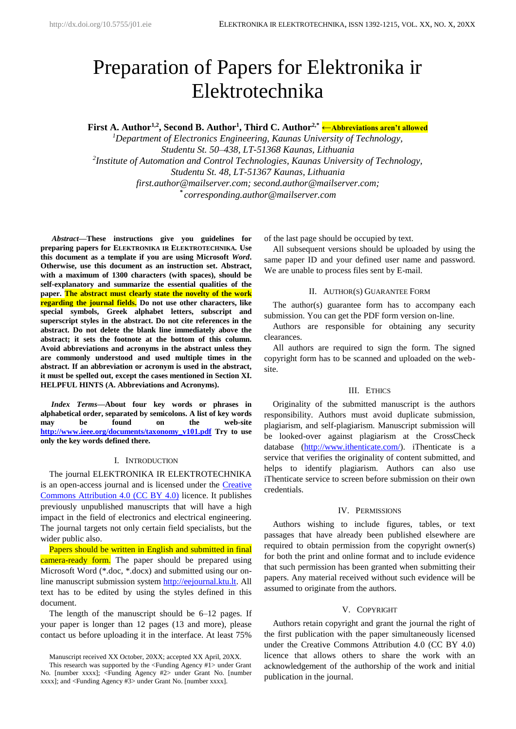# Preparation of Papers for Elektronika ir Elektrotechnika

**First A. Author1,2, Second B. Author<sup>1</sup> , Third C. Author2,\* ←Abbreviations aren't allowed**

*<sup>1</sup>Department of Electronics Engineering, Kaunas University of Technology, Studentu St. 50–438, LT-51368 Kaunas, Lithuania 2 Institute of Automation and Control Technologies, Kaunas University of Technology, Studentu St. 48, LT-51367 Kaunas, Lithuania first.author@mailserver.com; second.author@mailserver.com; \* corresponding.author@mailserver.com*

*<sup>1</sup>Abstract***—These instructions give you guidelines for preparing papers for ELEKTRONIKA IR ELEKTROTECHNIKA***.* **Use this document as a template if you are using Microsoft** *Word***. Otherwise, use this document as an instruction set. Abstract, with a maximum of 1300 characters (with spaces), should be self-explanatory and summarize the essential qualities of the paper. The abstract must clearly state the novelty of the work regarding the journal fields. Do not use other characters, like special symbols, Greek alphabet letters, subscript and superscript styles in the abstract. Do not cite references in the abstract. Do not delete the blank line immediately above the abstract; it sets the footnote at the bottom of this column. Avoid abbreviations and acronyms in the abstract unless they are commonly understood and used multiple times in the abstract. If an abbreviation or acronym is used in the abstract, it must be spelled out, except the cases mentioned in Section XI. HELPFUL HINTS (A. Abbreviations and Acronyms).**

*Index Terms***—About four key words or phrases in alphabetical order, separated by semicolons. A list of key words may be found on the web-site [http://www.ieee.org/documents/taxonomy\\_v101.pdf](http://www.ieee.org/documents/taxonomy_v101.pdf) Try to use only the key words defined there.** 

## I. INTRODUCTION

The journal ELEKTRONIKA IR ELEKTROTECHNIKA is an open-access journal and is licensed under the [Creative](https://creativecommons.org/licenses/by/4.0/)  [Commons Attribution 4.0 \(CC BY 4.0\)](https://creativecommons.org/licenses/by/4.0/) licence. It publishes previously unpublished manuscripts that will have a high impact in the field of electronics and electrical engineering. The journal targets not only certain field specialists, but the wider public also.

Papers should be written in English and submitted in final camera-ready form. The paper should be prepared using Microsoft Word (\*.doc, \*.docx) and submitted using our online manuscript submission system [http://eejournal.ktu.lt.](http://eejournal.ktu.lt/) All text has to be edited by using the styles defined in this document.

The length of the manuscript should be 6–12 pages. If your paper is longer than 12 pages (13 and more), please contact us before uploading it in the interface. At least 75%

Manuscript received XX October, 20XX; accepted XX April, 20XX.

of the last page should be occupied by text.

All subsequent versions should be uploaded by using the same paper ID and your defined user name and password. We are unable to process files sent by E-mail.

## II. AUTHOR(S) GUARANTEE FORM

The author(s) guarantee form has to accompany each submission. You can get the PDF form version on-line.

Authors are responsible for obtaining any security clearances.

All authors are required to sign the form. The signed copyright form has to be scanned and uploaded on the website.

#### III. ETHICS

Originality of the submitted manuscript is the authors responsibility. Authors must avoid duplicate submission, plagiarism, and self-plagiarism. Manuscript submission will be looked-over against plagiarism at the CrossCheck database [\(http://www.ithenticate.com/\)](http://www.ithenticate.com/). iThenticate is a service that verifies the originality of content submitted, and helps to identify plagiarism. Authors can also use iThenticate service to screen before submission on their own credentials.

#### IV. PERMISSIONS

Authors wishing to include figures, tables, or text passages that have already been published elsewhere are required to obtain permission from the copyright owner(s) for both the print and online format and to include evidence that such permission has been granted when submitting their papers. Any material received without such evidence will be assumed to originate from the authors.

## V. COPYRIGHT

Authors retain copyright and grant the journal the right of the first publication with the paper simultaneously licensed under the Creative Commons Attribution 4.0 (CC BY 4.0) licence that allows others to share the work with an acknowledgement of the authorship of the work and initial publication in the journal.

This research was supported by the <Funding Agency #1> under Grant No. [number xxxx]; <Funding Agency #2> under Grant No. [number xxxx]; and <Funding Agency #3> under Grant No. [number xxxx].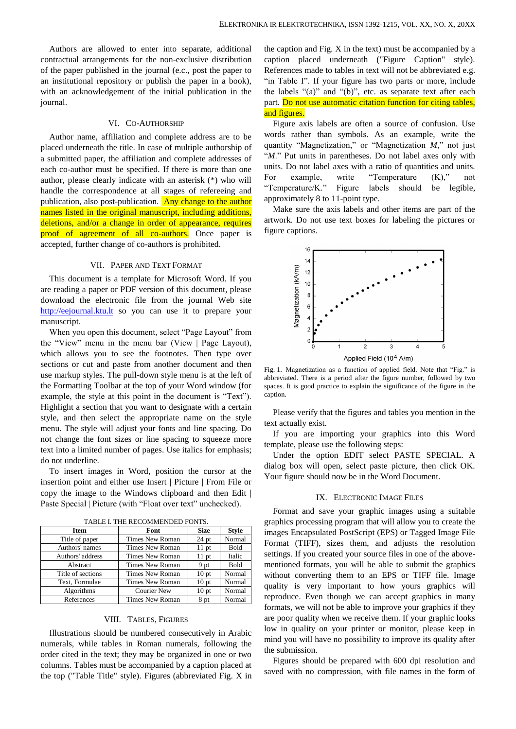Authors are allowed to enter into separate, additional contractual arrangements for the non-exclusive distribution of the paper published in the journal (e.c., post the paper to an institutional repository or publish the paper in a book), with an acknowledgement of the initial publication in the journal.

## VI. CO-AUTHORSHIP

Author name, affiliation and complete address are to be placed underneath the title. In case of multiple authorship of a submitted paper, the affiliation and complete addresses of each co-author must be specified. If there is more than one author, please clearly indicate with an asterisk (\*) who will handle the correspondence at all stages of refereeing and publication, also post-publication. Any change to the author names listed in the original manuscript, including additions, deletions, and/or a change in order of appearance, requires proof of agreement of all co-authors. Once paper is accepted, further change of co-authors is prohibited.

## VII. PAPER AND TEXT FORMAT

This document is a template for Microsoft Word. If you are reading a paper or PDF version of this document, please download the electronic file from the journal Web site [http://eejournal.ktu.lt](http://eejournal.ktu.lt/) so you can use it to prepare your manuscript.

When you open this document, select "Page Layout" from the "View" menu in the menu bar (View | Page Layout), which allows you to see the footnotes. Then type over sections or cut and paste from another document and then use markup styles. The pull-down style menu is at the left of the Formatting Toolbar at the top of your Word window (for example, the style at this point in the document is "Text"). Highlight a section that you want to designate with a certain style, and then select the appropriate name on the style menu. The style will adjust your fonts and line spacing. Do not change the font sizes or line spacing to squeeze more text into a limited number of pages. Use italics for emphasis; do not underline.

To insert images in Word, position the cursor at the insertion point and either use Insert | Picture | From File or copy the image to the Windows clipboard and then Edit | Paste Special | Picture (with "Float over text" unchecked).

| Item              | Font                                   | <b>Size</b>      | <b>Style</b> |
|-------------------|----------------------------------------|------------------|--------------|
| Title of paper    | Times New Roman                        | $24$ pt          | Normal       |
| Authors' names    | Times New Roman                        | $11$ pt          | Bold         |
| Authors' address  | Times New Roman                        | $11$ pt          | Italic       |
| Abstract          | Times New Roman                        | 9 pt             | Bold         |
| Title of sections | Times New Roman                        | 10 <sub>pt</sub> | Normal       |
| Text, Formulae    | Times New Roman                        | 10 <sub>pt</sub> | Normal       |
| Algorithms        | <b>Courier New</b><br>10 <sub>pt</sub> |                  | Normal       |
| References        | Times New Roman                        | 8 pt             | Normal       |

TABLE I. THE RECOMMENDED FONTS.

## VIII. TABLES, FIGURES

Illustrations should be numbered consecutively in Arabic numerals, while tables in Roman numerals, following the order cited in the text; they may be organized in one or two columns. Tables must be accompanied by a caption placed at the top ("Table Title" style). Figures (abbreviated Fig. X in

the caption and Fig. X in the text) must be accompanied by a caption placed underneath ("Figure Caption" style). References made to tables in text will not be abbreviated e.g. "in Table I". If your figure has two parts or more, include the labels "(a)" and "(b)", etc. as separate text after each part. Do not use automatic citation function for citing tables, and figures.

Figure axis labels are often a source of confusion. Use words rather than symbols. As an example, write the quantity "Magnetization," or "Magnetization *M*," not just "M." Put units in parentheses. Do not label axes only with units. Do not label axes with a ratio of quantities and units. For example, write "Temperature  $(K)$ ," not "Temperature/K." Figure labels should be legible, approximately 8 to 11-point type.

Make sure the axis labels and other items are part of the artwork. Do not use text boxes for labeling the pictures or figure captions.



Fig. 1. Magnetization as a function of applied field. Note that "Fig." is abbreviated. There is a period after the figure number, followed by two spaces. It is good practice to explain the significance of the figure in the caption.

Please verify that the figures and tables you mention in the text actually exist.

If you are importing your graphics into this Word template, please use the following steps:

Under the option EDIT select PASTE SPECIAL. A dialog box will open, select paste picture, then click OK. Your figure should now be in the Word Document.

## IX. ELECTRONIC IMAGE FILES

Format and save your graphic images using a suitable graphics processing program that will allow you to create the images Encapsulated PostScript (EPS) or Tagged Image File Format (TIFF), sizes them, and adjusts the resolution settings. If you created your source files in one of the abovementioned formats, you will be able to submit the graphics without converting them to an EPS or TIFF file. Image quality is very important to how yours graphics will reproduce. Even though we can accept graphics in many formats, we will not be able to improve your graphics if they are poor quality when we receive them. If your graphic looks low in quality on your printer or monitor, please keep in mind you will have no possibility to improve its quality after the submission.

Figures should be prepared with 600 dpi resolution and saved with no compression, with file names in the form of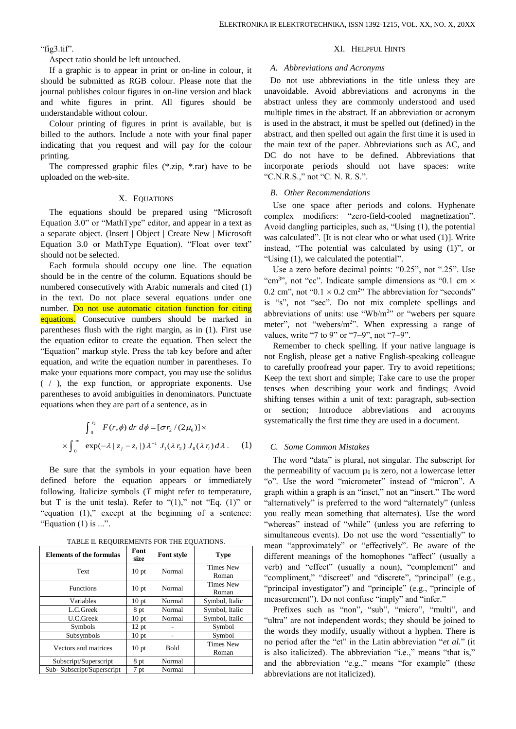"fig3.tif".

Aspect ratio should be left untouched.

If a graphic is to appear in print or on-line in colour, it should be submitted as RGB colour. Please note that the journal publishes colour figures in on-line version and black and white figures in print. All figures should be understandable without colour.

Colour printing of figures in print is available, but is billed to the authors. Include a note with your final paper indicating that you request and will pay for the colour printing.

The compressed graphic files (\*.zip, \*.rar) have to be uploaded on the web-site.

#### X. EQUATIONS

The equations should be prepared using "Microsoft Equation 3.0" or "MathType" editor, and appear in a text as a separate object. (Insert | Object | Create New | Microsoft Equation 3.0 or MathType Equation). "Float over text" should not be selected.

Each formula should occupy one line. The equation should be in the centre of the column. Equations should be numbered consecutively with Arabic numerals and cited (1) in the text. Do not place several equations under one number. Do not use automatic citation function for citing equations. Consecutive numbers should be marked in parentheses flush with the right margin, as in (1). First use the equation editor to create the equation. Then select the "Equation" markup style. Press the tab key before and after equation, and write the equation number in parentheses. To make your equations more compact, you may use the solidus ( / ), the exp function, or appropriate exponents. Use parentheses to avoid ambiguities in denominators. Punctuate equations when they are part of a sentence, as in

$$
\int_0^{r_2} F(r,\phi) dr d\phi = [\sigma r_2 / (2\mu_0)] \times
$$
  
 
$$
\times \int_0^{\infty} \exp(-\lambda |z_j - z_i|) \lambda^{-1} J_1(\lambda r_2) J_0(\lambda r_i) d\lambda.
$$
 (1)

Be sure that the symbols in your equation have been defined before the equation appears or immediately following. Italicize symbols (*T* might refer to temperature, but T is the unit tesla). Refer to " $(1)$ ," not "Eq.  $(1)$ " or "equation (1)," except at the beginning of a sentence: "Equation  $(1)$  is ...".

| <b>Elements of the formulas</b> | Font<br>size     | <b>Font style</b> | <b>Type</b>               |  |  |
|---------------------------------|------------------|-------------------|---------------------------|--|--|
| Text                            | 10 <sub>pt</sub> | Normal            | <b>Times New</b><br>Roman |  |  |
| <b>Functions</b>                | 10 <sub>pt</sub> | Normal            | <b>Times New</b><br>Roman |  |  |
| Variables                       | 10 <sub>pt</sub> | Normal            | Symbol, Italic            |  |  |
| L.C.Greek                       | 8 pt             | Normal            | Symbol, Italic            |  |  |
| <b>U.C.Greek</b>                | 10 <sub>pt</sub> | Normal            | Symbol, Italic            |  |  |
| Symbols                         | 12 pt            |                   | Symbol                    |  |  |
| Subsymbols                      | 10 <sub>pt</sub> |                   | Symbol                    |  |  |
| Vectors and matrices            | 10 <sub>pt</sub> | Bold              | <b>Times New</b><br>Roman |  |  |
| Subscript/Superscript           | 8 pt             | Normal            |                           |  |  |
| Sub-Subscript/Superscript       | 7 pt             | Normal            |                           |  |  |

TABLE II. REQUIREMENTS FOR THE EQUATIONS.

#### XI. HELPFUL HINTS

#### *A. Abbreviations and Acronyms*

Do not use abbreviations in the title unless they are unavoidable. Avoid abbreviations and acronyms in the abstract unless they are commonly understood and used multiple times in the abstract. If an abbreviation or acronym is used in the abstract, it must be spelled out (defined) in the abstract, and then spelled out again the first time it is used in the main text of the paper. Abbreviations such as AC, and DC do not have to be defined. Abbreviations that incorporate periods should not have spaces: write "C.N.R.S.," not "C. N. R. S.".

## *B. Other Recommendations*

Use one space after periods and colons. Hyphenate complex modifiers: "zero-field-cooled magnetization". Avoid dangling participles, such as, "Using (1), the potential was calculated". [It is not clear who or what used (1)]. Write instead, "The potential was calculated by using (1)", or "Using (1), we calculated the potential".

Use a zero before decimal points: "0.25", not ".25". Use "cm<sup>3</sup>", not "cc". Indicate sample dimensions as "0.1 cm  $\times$ 0.2 cm", not " $0.1 \times 0.2$  cm<sup>2</sup>" The abbreviation for "seconds" is "s", not "sec". Do not mix complete spellings and abbreviations of units: use "Wb/ $m<sup>2</sup>$ " or "webers per square meter", not "webers/m<sup>2</sup>". When expressing a range of values, write "7 to 9" or "7–9", not "7~9".

Remember to check spelling. If your native language is not English, please get a native English-speaking colleague to carefully proofread your paper. Try to avoid repetitions; Keep the text short and simple; Take care to use the proper tenses when describing your work and findings; Avoid shifting tenses within a unit of text: paragraph, sub-section section; Introduce abbreviations and acronyms systematically the first time they are used in a document.

# *C. Some Common Mistakes*

The word "data" is plural, not singular. The subscript for the permeability of vacuum  $\mu_0$  is zero, not a lowercase letter "o". Use the word "micrometer" instead of "micron". A graph within a graph is an "inset," not an "insert." The word "alternatively" is preferred to the word "alternately" (unless you really mean something that alternates). Use the word "whereas" instead of "while" (unless you are referring to simultaneous events). Do not use the word "essentially" to mean "approximately" or "effectively". Be aware of the different meanings of the homophones "affect" (usually a verb) and "effect" (usually a noun), "complement" and "compliment," "discreet" and "discrete", "principal" (e.g., "principal investigator") and "principle" (e.g., "principle of measurement"). Do not confuse "imply" and "infer."

Prefixes such as "non", "sub", "micro", "multi", and "ultra" are not independent words; they should be joined to the words they modify, usually without a hyphen. There is no period after the "et" in the Latin abbreviation "*et al.*" (it is also italicized). The abbreviation "i.e.," means "that is," and the abbreviation "e.g.," means "for example" (these abbreviations are not italicized).